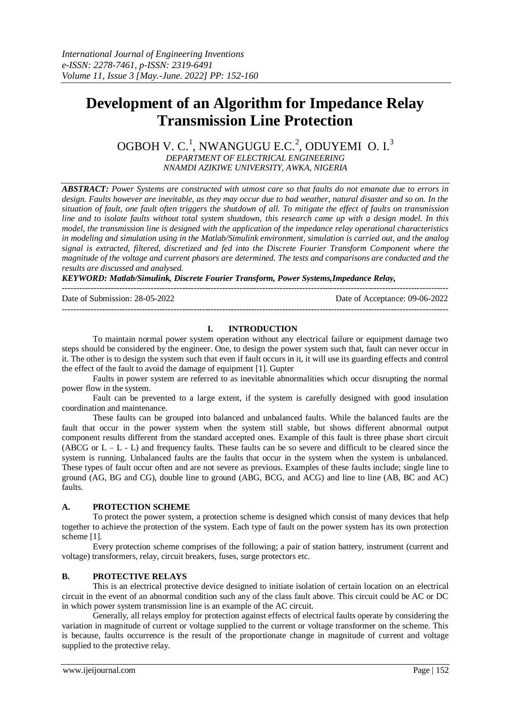# **Development of an Algorithm for Impedance Relay Transmission Line Protection**

OGBOH V. C.<sup>1</sup>, NWANGUGU E.C.<sup>2</sup>, ODUYEMI O. I.<sup>3</sup> *DEPARTMENT OF ELECTRICAL ENGINEERING*

*NNAMDI AZIKIWE UNIVERSITY, AWKA, NIGERIA*

*ABSTRACT: Power Systems are constructed with utmost care so that faults do not emanate due to errors in design. Faults however are inevitable, as they may occur due to bad weather, natural disaster and so on. In the situation of fault, one fault often triggers the shutdown of all. To mitigate the effect of faults on transmission line and to isolate faults without total system shutdown, this research came up with a design model. In this model, the transmission line is designed with the application of the impedance relay operational characteristics in modeling and simulation using in the Matlab/Simulink environment, simulation is carried out, and the analog signal is extracted, filtered, discretized and fed into the Discrete Fourier Transform Component where the magnitude of the voltage and current phasors are determined. The tests and comparisons are conducted and the results are discussed and analysed.*

*KEYWORD: Matlab/Simulink, Discrete Fourier Transform, Power Systems,Impedance Relay,*

---------------------------------------------------------------------------------------------------------------------------------------

Date of Submission: 28-05-2022 Date of Acceptance: 09-06-2022 ---------------------------------------------------------------------------------------------------------------------------------------

## **I. INTRODUCTION**

To maintain normal power system operation without any electrical failure or equipment damage two steps should be considered by the engineer. One, to design the power system such that, fault can never occur in it. The other is to design the system such that even if fault occurs in it, it will use its guarding effects and control the effect of the fault to avoid the damage of equipment [1]. Gupter

Faults in power system are referred to as inevitable abnormalities which occur disrupting the normal power flow in the system.

Fault can be prevented to a large extent, if the system is carefully designed with good insulation coordination and maintenance.

These faults can be grouped into balanced and unbalanced faults. While the balanced faults are the fault that occur in the power system when the system still stable, but shows different abnormal output component results different from the standard accepted ones. Example of this fault is three phase short circuit (ABCG or  $L - L - L$ ) and frequency faults. These faults can be so severe and difficult to be cleared since the system is running. Unbalanced faults are the faults that occur in the system when the system is unbalanced. These types of fault occur often and are not severe as previous. Examples of these faults include; single line to ground (AG, BG and CG), double line to ground (ABG, BCG, and ACG) and line to line (AB, BC and AC) faults.

## **A. PROTECTION SCHEME**

To protect the power system, a protection scheme is designed which consist of many devices that help together to achieve the protection of the system. Each type of fault on the power system has its own protection scheme [1].

Every protection scheme comprises of the following; a pair of station battery, instrument (current and voltage) transformers, relay, circuit breakers, fuses, surge protectors etc.

# **B. PROTECTIVE RELAYS**

This is an electrical protective device designed to initiate isolation of certain location on an electrical circuit in the event of an abnormal condition such any of the class fault above. This circuit could be AC or DC in which power system transmission line is an example of the AC circuit.

Generally, all relays employ for protection against effects of electrical faults operate by considering the variation in magnitude of current or voltage supplied to the current or voltage transformer on the scheme. This is because, faults occurrence is the result of the proportionate change in magnitude of current and voltage supplied to the protective relay.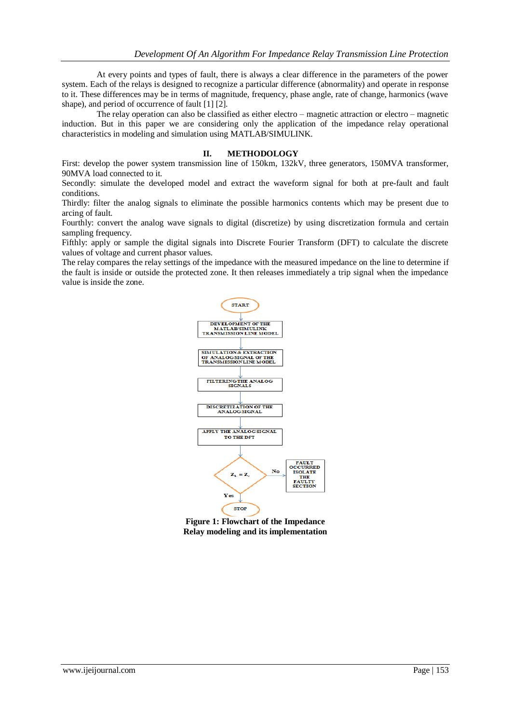At every points and types of fault, there is always a clear difference in the parameters of the power system. Each of the relays is designed to recognize a particular difference (abnormality) and operate in response to it. These differences may be in terms of magnitude, frequency, phase angle, rate of change, harmonics (wave shape), and period of occurrence of fault [1] [2].

The relay operation can also be classified as either electro – magnetic attraction or electro – magnetic induction. But in this paper we are considering only the application of the impedance relay operational characteristics in modeling and simulation using MATLAB/SIMULINK.

#### **II. METHODOLOGY**

First: develop the power system transmission line of 150km, 132kV, three generators, 150MVA transformer, 90MVA load connected to it.

Secondly: simulate the developed model and extract the waveform signal for both at pre-fault and fault conditions.

Thirdly: filter the analog signals to eliminate the possible harmonics contents which may be present due to arcing of fault.

Fourthly: convert the analog wave signals to digital (discretize) by using discretization formula and certain sampling frequency.

Fifthly: apply or sample the digital signals into Discrete Fourier Transform (DFT) to calculate the discrete values of voltage and current phasor values.

The relay compares the relay settings of the impedance with the measured impedance on the line to determine if the fault is inside or outside the protected zone. It then releases immediately a trip signal when the impedance value is inside the zone.



**Figure 1: Flowchart of the Impedance Relay modeling and its implementation**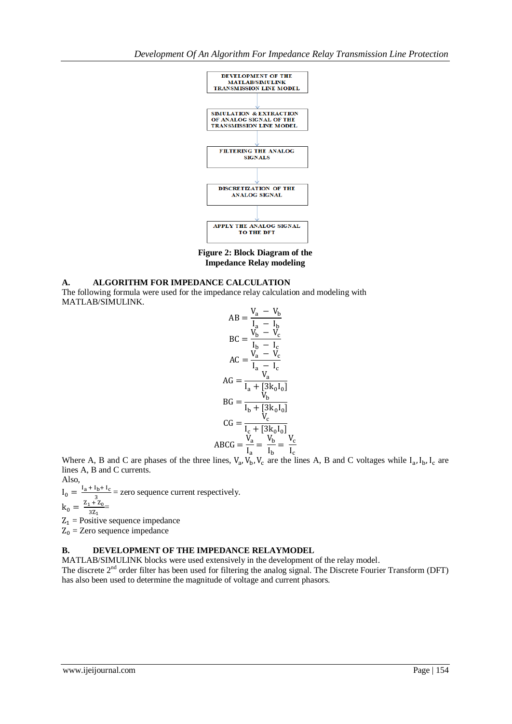

**Figure 2: Block Diagram of the Impedance Relay modeling**

# **A. ALGORITHM FOR IMPEDANCE CALCULATION**

The following formula were used for the impedance relay calculation and modeling with MATLAB/SIMULINK.

$$
AB = \frac{V_a - V_b}{I_a - I_b}
$$
  
\n
$$
BC = \frac{V_b - V_c}{I_b - I_c}
$$
  
\n
$$
AC = \frac{V_a - V_c}{I_a - I_c}
$$
  
\n
$$
AG = \frac{V_a}{I_a + [3k_0 I_0]}
$$
  
\n
$$
BG = \frac{V_b}{I_b + [3k_0 I_0]}
$$
  
\n
$$
CG = \frac{V_c}{I_c + [3k_0 I_0]}
$$
  
\n
$$
ABCG = \frac{V_a}{I_a} = \frac{V_b}{I_b} = \frac{V_c}{I_c}
$$

Where A, B and C are phases of the three lines,  $V_a$ ,  $V_b$ ,  $V_c$  are the lines A, B and C voltages while  $I_a$ ,  $I_b$ ,  $I_c$  are lines A, B and C currents.

Also,  $I_0 = \frac{I_a + I_b + I_c}{2}$  = zero sequence current respectively. 3  $k_0 = \frac{z}{x}$  $\frac{1+20}{3Z_1}$  $Z_1$  = Positive sequence impedance

 $Z_0$  = Zero sequence impedance

# **B. DEVELOPMENT OF THE IMPEDANCE RELAYMODEL**

MATLAB/SIMULINK blocks were used extensively in the development of the relay model.

The discrete 2<sup>nd</sup> order filter has been used for filtering the analog signal. The Discrete Fourier Transform (DFT) has also been used to determine the magnitude of voltage and current phasors.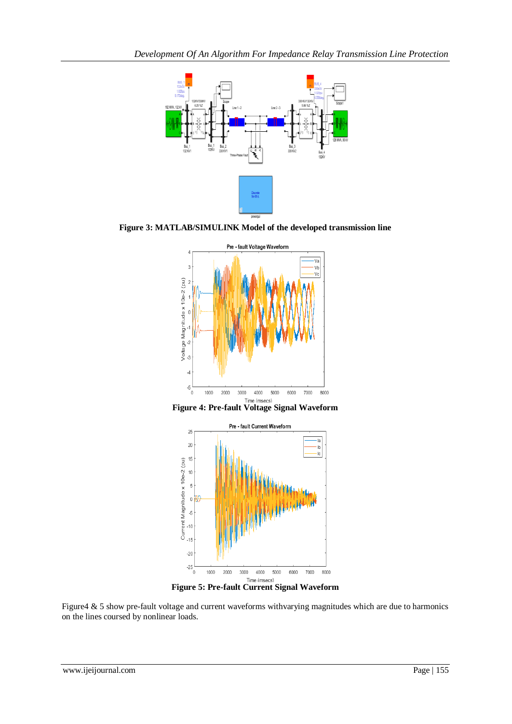

**Figure 3: MATLAB/SIMULINK Model of the developed transmission line**







**Figure 5: Pre-fault Current Signal Waveform** 

Figure4 & 5 show pre-fault voltage and current waveforms withvarying magnitudes which are due to harmonics on the lines coursed by nonlinear loads.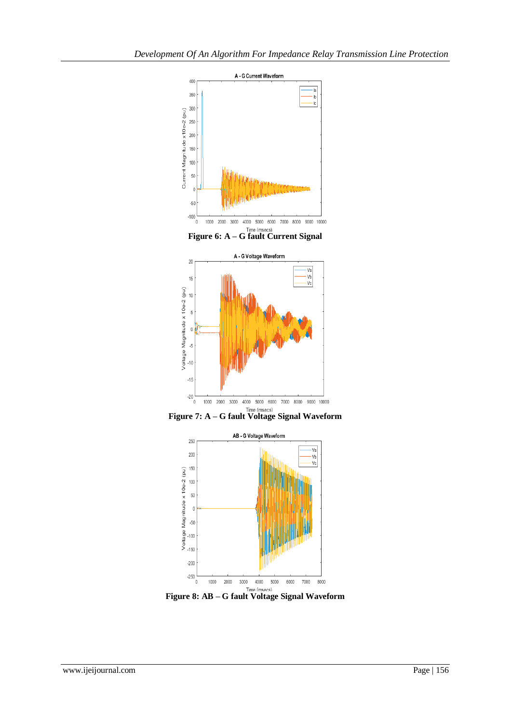



**Figure 8: AB – G fault Voltage Signal Waveform**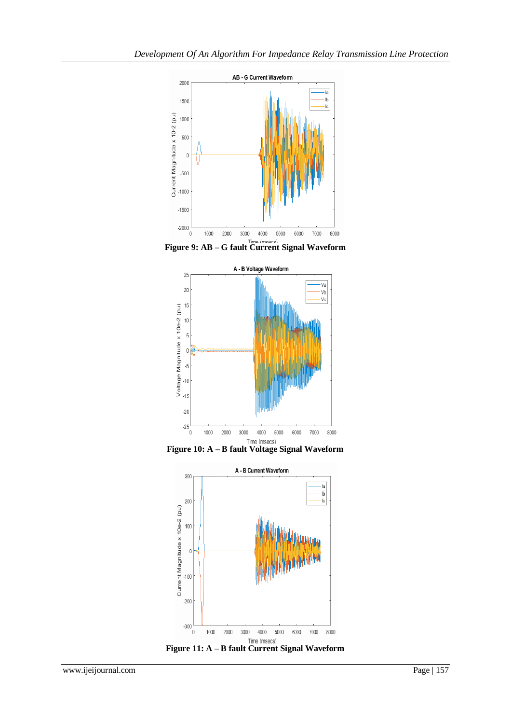

**Figure 9: AB – G fault Current Signal Waveform**





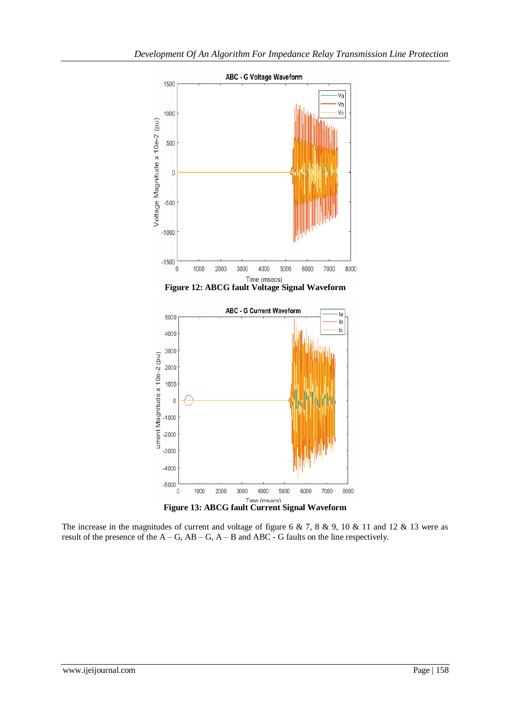

The increase in the magnitudes of current and voltage of figure 6 & 7, 8 & 9, 10 & 11 and 12 & 13 were as result of the presence of the  $A - G$ ,  $AB - G$ ,  $A - B$  and  $ABC - G$  faults on the line respectively.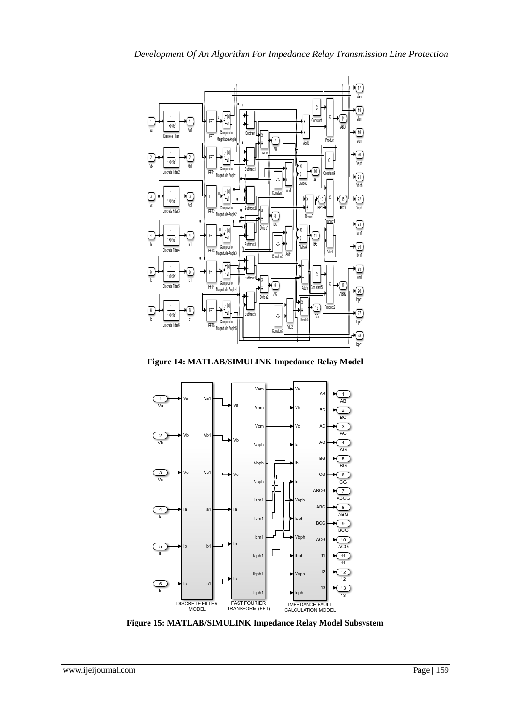

*Development Of An Algorithm For Impedance Relay Transmission Line Protection*

**Figure 14: MATLAB/SIMULINK Impedance Relay Model**



**Figure 15: MATLAB/SIMULINK Impedance Relay Model Subsystem**